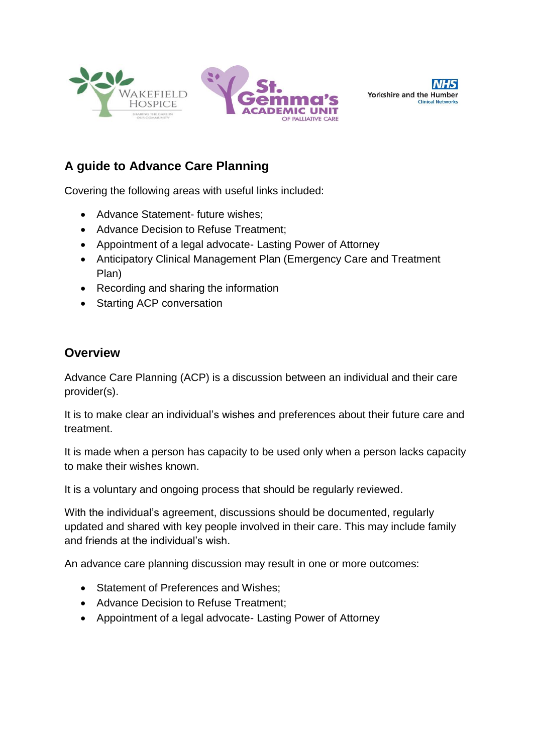





# **A guide to Advance Care Planning**

Covering the following areas with useful links included:

- Advance Statement- future wishes;
- Advance Decision to Refuse Treatment;
- Appointment of a legal advocate- Lasting Power of Attorney
- Anticipatory Clinical Management Plan (Emergency Care and Treatment Plan)
- Recording and sharing the information
- Starting ACP conversation

# **Overview**

Advance Care Planning (ACP) is a discussion between an individual and their care provider(s).

It is to make clear an individual's wishes and preferences about their future care and treatment.

It is made when a person has capacity to be used only when a person lacks capacity to make their wishes known.

It is a voluntary and ongoing process that should be regularly reviewed.

With the individual's agreement, discussions should be documented, regularly updated and shared with key people involved in their care. This may include family and friends at the individual's wish.

An advance care planning discussion may result in one or more outcomes:

- Statement of Preferences and Wishes;
- Advance Decision to Refuse Treatment;
- Appointment of a legal advocate- Lasting Power of Attorney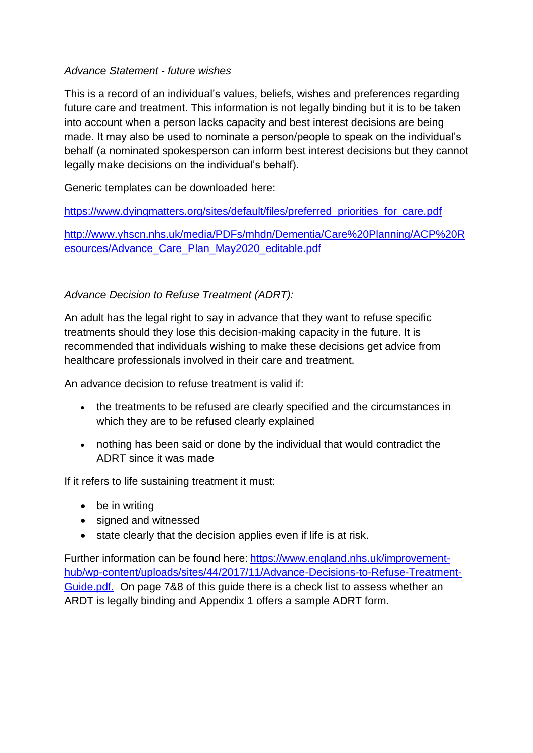#### *Advance Statement - future wishes*

This is a record of an individual's values, beliefs, wishes and preferences regarding future care and treatment. This information is not legally binding but it is to be taken into account when a person lacks capacity and best interest decisions are being made. It may also be used to nominate a person/people to speak on the individual's behalf (a nominated spokesperson can inform best interest decisions but they cannot legally make decisions on the individual's behalf).

Generic templates can be downloaded here:

[https://www.dyingmatters.org/sites/default/files/preferred\\_priorities\\_for\\_care.pdf](https://www.dyingmatters.org/sites/default/files/preferred_priorities_for_care.pdf)

[http://www.yhscn.nhs.uk/media/PDFs/mhdn/Dementia/Care%20Planning/ACP%20R](http://www.yhscn.nhs.uk/media/PDFs/mhdn/Dementia/Care%20Planning/ACP%20Resources/Advance_Care_Plan_May2020_editable.pdf) [esources/Advance\\_Care\\_Plan\\_May2020\\_editable.pdf](http://www.yhscn.nhs.uk/media/PDFs/mhdn/Dementia/Care%20Planning/ACP%20Resources/Advance_Care_Plan_May2020_editable.pdf)

#### *Advance Decision to Refuse Treatment (ADRT):*

An adult has the legal right to say in advance that they want to refuse specific treatments should they lose this decision-making capacity in the future. It is recommended that individuals wishing to make these decisions get advice from healthcare professionals involved in their care and treatment.

An advance decision to refuse treatment is valid if:

- the treatments to be refused are clearly specified and the circumstances in which they are to be refused clearly explained
- nothing has been said or done by the individual that would contradict the ADRT since it was made

If it refers to life sustaining treatment it must:

- be in writing
- signed and witnessed
- state clearly that the decision applies even if life is at risk.

Further information can be found here: [https://www.england.nhs.uk/improvement](https://www.england.nhs.uk/improvement-hub/wp-content/uploads/sites/44/2017/11/Advance-Decisions-to-Refuse-Treatment-Guide.pdf)[hub/wp-content/uploads/sites/44/2017/11/Advance-Decisions-to-Refuse-Treatment-](https://www.england.nhs.uk/improvement-hub/wp-content/uploads/sites/44/2017/11/Advance-Decisions-to-Refuse-Treatment-Guide.pdf)[Guide.pdf.](https://www.england.nhs.uk/improvement-hub/wp-content/uploads/sites/44/2017/11/Advance-Decisions-to-Refuse-Treatment-Guide.pdf) On page 7&8 of this guide there is a check list to assess whether an ARDT is legally binding and Appendix 1 offers a sample ADRT form.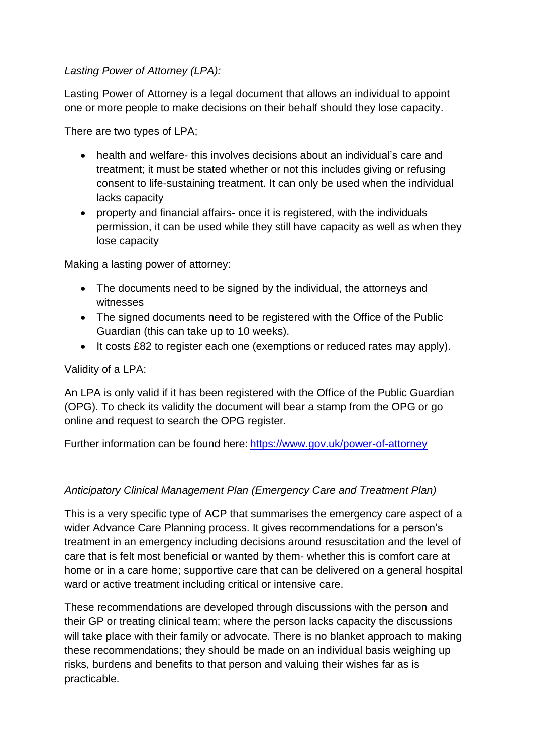#### *Lasting Power of Attorney (LPA):*

Lasting Power of Attorney is a legal document that allows an individual to appoint one or more people to make decisions on their behalf should they lose capacity.

There are two types of LPA;

- health and welfare- this involves decisions about an individual's care and treatment; it must be stated whether or not this includes giving or refusing consent to life-sustaining treatment. It can only be used when the individual lacks capacity
- property and financial affairs- once it is registered, with the individuals permission, it can be used while they still have capacity as well as when they lose capacity

Making a lasting power of attorney:

- The documents need to be signed by the individual, the attorneys and witnesses
- The signed documents need to be registered with the Office of the Public Guardian (this can take up to 10 weeks).
- It costs £82 to register each one (exemptions or reduced rates may apply).

#### Validity of a LPA:

An LPA is only valid if it has been registered with the Office of the Public Guardian (OPG). To check its validity the document will bear a stamp from the OPG or go online and request to search the OPG register.

Further information can be found here: <https://www.gov.uk/power-of-attorney>

## *Anticipatory Clinical Management Plan (Emergency Care and Treatment Plan)*

This is a very specific type of ACP that summarises the emergency care aspect of a wider Advance Care Planning process. It gives recommendations for a person's treatment in an emergency including decisions around resuscitation and the level of care that is felt most beneficial or wanted by them- whether this is comfort care at home or in a care home; supportive care that can be delivered on a general hospital ward or active treatment including critical or intensive care.

These recommendations are developed through discussions with the person and their GP or treating clinical team; where the person lacks capacity the discussions will take place with their family or advocate. There is no blanket approach to making these recommendations; they should be made on an individual basis weighing up risks, burdens and benefits to that person and valuing their wishes far as is practicable.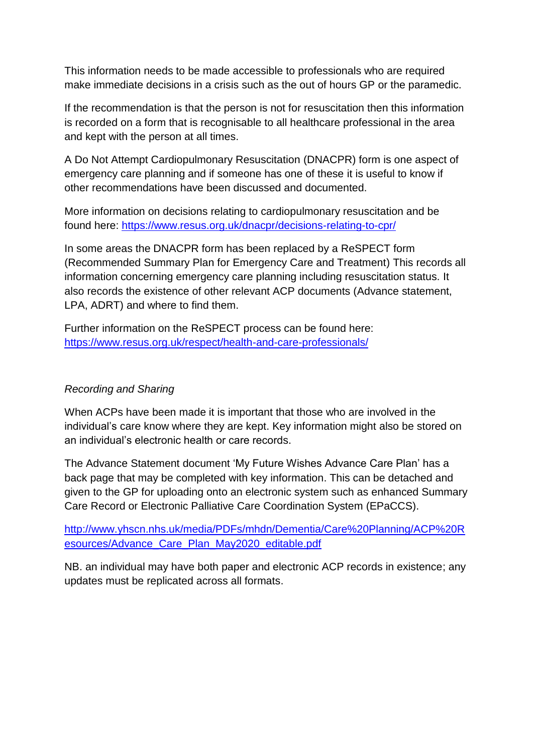This information needs to be made accessible to professionals who are required make immediate decisions in a crisis such as the out of hours GP or the paramedic.

If the recommendation is that the person is not for resuscitation then this information is recorded on a form that is recognisable to all healthcare professional in the area and kept with the person at all times.

A Do Not Attempt Cardiopulmonary Resuscitation (DNACPR) form is one aspect of emergency care planning and if someone has one of these it is useful to know if other recommendations have been discussed and documented.

More information on decisions relating to cardiopulmonary resuscitation and be found here:<https://www.resus.org.uk/dnacpr/decisions-relating-to-cpr/>

In some areas the DNACPR form has been replaced by a ReSPECT form (Recommended Summary Plan for Emergency Care and Treatment) This records all information concerning emergency care planning including resuscitation status. It also records the existence of other relevant ACP documents (Advance statement, LPA, ADRT) and where to find them.

Further information on the ReSPECT process can be found here: <https://www.resus.org.uk/respect/health-and-care-professionals/>

## *Recording and Sharing*

When ACPs have been made it is important that those who are involved in the individual's care know where they are kept. Key information might also be stored on an individual's electronic health or care records.

The Advance Statement document 'My Future Wishes Advance Care Plan' has a back page that may be completed with key information. This can be detached and given to the GP for uploading onto an electronic system such as enhanced Summary Care Record or Electronic Palliative Care Coordination System (EPaCCS).

[http://www.yhscn.nhs.uk/media/PDFs/mhdn/Dementia/Care%20Planning/ACP%20R](http://www.yhscn.nhs.uk/media/PDFs/mhdn/Dementia/Care%20Planning/ACP%20Resources/Advance_Care_Plan_May2020_editable.pdf) [esources/Advance\\_Care\\_Plan\\_May2020\\_editable.pdf](http://www.yhscn.nhs.uk/media/PDFs/mhdn/Dementia/Care%20Planning/ACP%20Resources/Advance_Care_Plan_May2020_editable.pdf)

NB. an individual may have both paper and electronic ACP records in existence; any updates must be replicated across all formats.